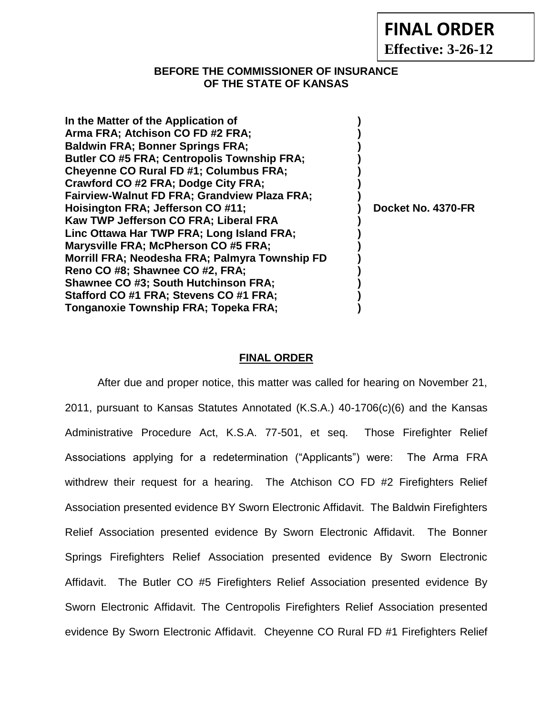|  | <b>FINAL ORDER</b> |
|--|--------------------|
|--|--------------------|

**Effective: 3-26-12**

## **BEFORE THE COMMISSIONER OF INSURANCE OF THE STATE OF KANSAS**

| In the Matter of the Application of<br>Arma FRA; Atchison CO FD #2 FRA;<br><b>Baldwin FRA; Bonner Springs FRA;</b><br><b>Butler CO #5 FRA; Centropolis Township FRA;</b><br><b>Cheyenne CO Rural FD #1; Columbus FRA;</b> |                    |
|---------------------------------------------------------------------------------------------------------------------------------------------------------------------------------------------------------------------------|--------------------|
| Crawford CO #2 FRA; Dodge City FRA;                                                                                                                                                                                       |                    |
| <b>Fairview-Walnut FD FRA; Grandview Plaza FRA;</b>                                                                                                                                                                       |                    |
| Hoisington FRA; Jefferson CO #11;                                                                                                                                                                                         | Docket No. 4370-FR |
| Kaw TWP Jefferson CO FRA; Liberal FRA                                                                                                                                                                                     |                    |
| Linc Ottawa Har TWP FRA; Long Island FRA;                                                                                                                                                                                 |                    |
| Marysville FRA; McPherson CO #5 FRA;                                                                                                                                                                                      |                    |
| Morrill FRA; Neodesha FRA; Palmyra Township FD                                                                                                                                                                            |                    |
| Reno CO #8; Shawnee CO #2, FRA;                                                                                                                                                                                           |                    |
| <b>Shawnee CO #3; South Hutchinson FRA;</b>                                                                                                                                                                               |                    |
| Stafford CO #1 FRA; Stevens CO #1 FRA;                                                                                                                                                                                    |                    |
| Tonganoxie Township FRA; Topeka FRA;                                                                                                                                                                                      |                    |

## **FINAL ORDER**

After due and proper notice, this matter was called for hearing on November 21, 2011, pursuant to Kansas Statutes Annotated (K.S.A.) 40-1706(c)(6) and the Kansas Administrative Procedure Act, K.S.A. 77-501, et seq. Those Firefighter Relief Associations applying for a redetermination ("Applicants") were: The Arma FRA withdrew their request for a hearing. The Atchison CO FD #2 Firefighters Relief Association presented evidence BY Sworn Electronic Affidavit. The Baldwin Firefighters Relief Association presented evidence By Sworn Electronic Affidavit. The Bonner Springs Firefighters Relief Association presented evidence By Sworn Electronic Affidavit. The Butler CO #5 Firefighters Relief Association presented evidence By Sworn Electronic Affidavit. The Centropolis Firefighters Relief Association presented evidence By Sworn Electronic Affidavit. Cheyenne CO Rural FD #1 Firefighters Relief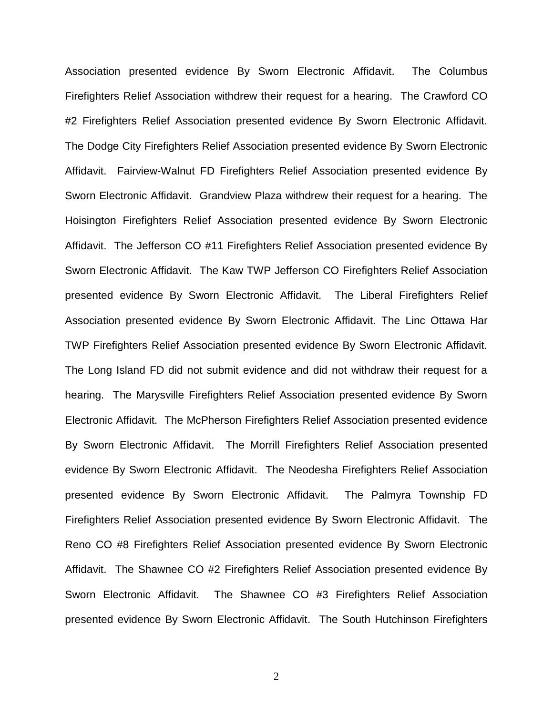Association presented evidence By Sworn Electronic Affidavit. The Columbus Firefighters Relief Association withdrew their request for a hearing. The Crawford CO #2 Firefighters Relief Association presented evidence By Sworn Electronic Affidavit. The Dodge City Firefighters Relief Association presented evidence By Sworn Electronic Affidavit. Fairview-Walnut FD Firefighters Relief Association presented evidence By Sworn Electronic Affidavit. Grandview Plaza withdrew their request for a hearing. The Hoisington Firefighters Relief Association presented evidence By Sworn Electronic Affidavit. The Jefferson CO #11 Firefighters Relief Association presented evidence By Sworn Electronic Affidavit. The Kaw TWP Jefferson CO Firefighters Relief Association presented evidence By Sworn Electronic Affidavit. The Liberal Firefighters Relief Association presented evidence By Sworn Electronic Affidavit. The Linc Ottawa Har TWP Firefighters Relief Association presented evidence By Sworn Electronic Affidavit. The Long Island FD did not submit evidence and did not withdraw their request for a hearing. The Marysville Firefighters Relief Association presented evidence By Sworn Electronic Affidavit. The McPherson Firefighters Relief Association presented evidence By Sworn Electronic Affidavit. The Morrill Firefighters Relief Association presented evidence By Sworn Electronic Affidavit. The Neodesha Firefighters Relief Association presented evidence By Sworn Electronic Affidavit. The Palmyra Township FD Firefighters Relief Association presented evidence By Sworn Electronic Affidavit. The Reno CO #8 Firefighters Relief Association presented evidence By Sworn Electronic Affidavit. The Shawnee CO #2 Firefighters Relief Association presented evidence By Sworn Electronic Affidavit. The Shawnee CO #3 Firefighters Relief Association presented evidence By Sworn Electronic Affidavit. The South Hutchinson Firefighters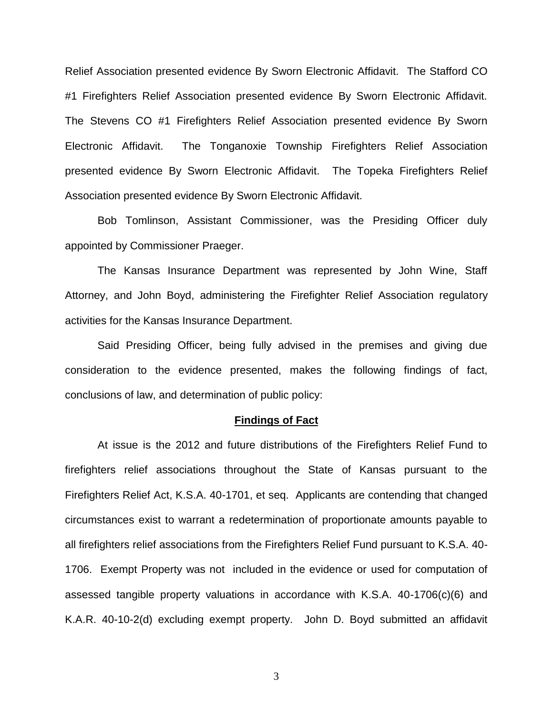Relief Association presented evidence By Sworn Electronic Affidavit. The Stafford CO #1 Firefighters Relief Association presented evidence By Sworn Electronic Affidavit. The Stevens CO #1 Firefighters Relief Association presented evidence By Sworn Electronic Affidavit. The Tonganoxie Township Firefighters Relief Association presented evidence By Sworn Electronic Affidavit. The Topeka Firefighters Relief Association presented evidence By Sworn Electronic Affidavit.

Bob Tomlinson, Assistant Commissioner, was the Presiding Officer duly appointed by Commissioner Praeger.

The Kansas Insurance Department was represented by John Wine, Staff Attorney, and John Boyd, administering the Firefighter Relief Association regulatory activities for the Kansas Insurance Department.

Said Presiding Officer, being fully advised in the premises and giving due consideration to the evidence presented, makes the following findings of fact, conclusions of law, and determination of public policy:

#### **Findings of Fact**

At issue is the 2012 and future distributions of the Firefighters Relief Fund to firefighters relief associations throughout the State of Kansas pursuant to the Firefighters Relief Act, K.S.A. 40-1701, et seq. Applicants are contending that changed circumstances exist to warrant a redetermination of proportionate amounts payable to all firefighters relief associations from the Firefighters Relief Fund pursuant to K.S.A. 40- 1706. Exempt Property was not included in the evidence or used for computation of assessed tangible property valuations in accordance with K.S.A. 40-1706(c)(6) and K.A.R. 40-10-2(d) excluding exempt property. John D. Boyd submitted an affidavit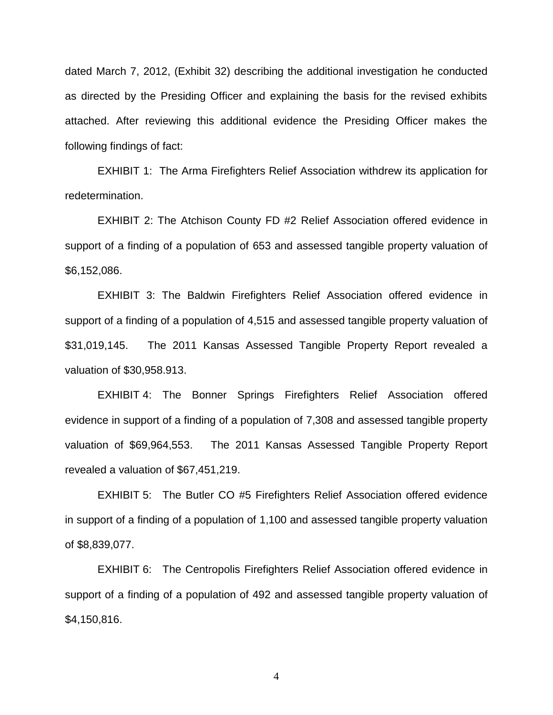dated March 7, 2012, (Exhibit 32) describing the additional investigation he conducted as directed by the Presiding Officer and explaining the basis for the revised exhibits attached. After reviewing this additional evidence the Presiding Officer makes the following findings of fact:

EXHIBIT 1: The Arma Firefighters Relief Association withdrew its application for redetermination.

EXHIBIT 2: The Atchison County FD #2 Relief Association offered evidence in support of a finding of a population of 653 and assessed tangible property valuation of \$6,152,086.

EXHIBIT 3: The Baldwin Firefighters Relief Association offered evidence in support of a finding of a population of 4,515 and assessed tangible property valuation of \$31,019,145. The 2011 Kansas Assessed Tangible Property Report revealed a valuation of \$30,958.913.

EXHIBIT 4: The Bonner Springs Firefighters Relief Association offered evidence in support of a finding of a population of 7,308 and assessed tangible property valuation of \$69,964,553. The 2011 Kansas Assessed Tangible Property Report revealed a valuation of \$67,451,219.

EXHIBIT 5: The Butler CO #5 Firefighters Relief Association offered evidence in support of a finding of a population of 1,100 and assessed tangible property valuation of \$8,839,077.

EXHIBIT 6: The Centropolis Firefighters Relief Association offered evidence in support of a finding of a population of 492 and assessed tangible property valuation of \$4,150,816.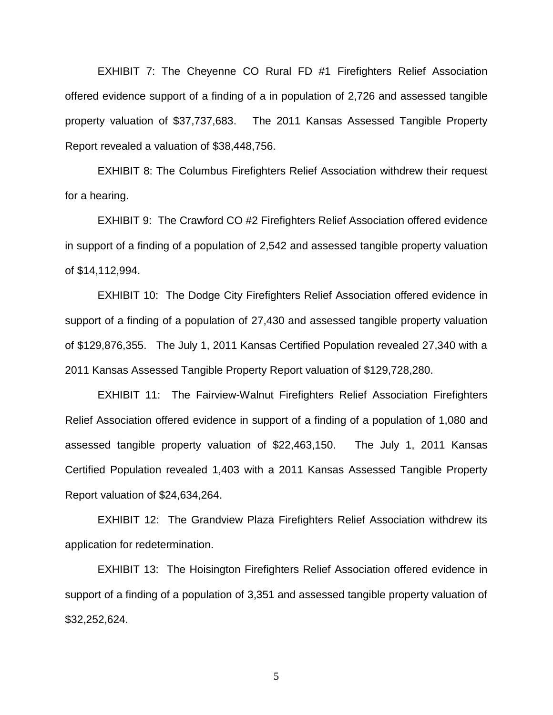EXHIBIT 7: The Cheyenne CO Rural FD #1 Firefighters Relief Association offered evidence support of a finding of a in population of 2,726 and assessed tangible property valuation of \$37,737,683. The 2011 Kansas Assessed Tangible Property Report revealed a valuation of \$38,448,756.

EXHIBIT 8: The Columbus Firefighters Relief Association withdrew their request for a hearing.

EXHIBIT 9: The Crawford CO #2 Firefighters Relief Association offered evidence in support of a finding of a population of 2,542 and assessed tangible property valuation of \$14,112,994.

EXHIBIT 10: The Dodge City Firefighters Relief Association offered evidence in support of a finding of a population of 27,430 and assessed tangible property valuation of \$129,876,355. The July 1, 2011 Kansas Certified Population revealed 27,340 with a 2011 Kansas Assessed Tangible Property Report valuation of \$129,728,280.

EXHIBIT 11: The Fairview-Walnut Firefighters Relief Association Firefighters Relief Association offered evidence in support of a finding of a population of 1,080 and assessed tangible property valuation of \$22,463,150. The July 1, 2011 Kansas Certified Population revealed 1,403 with a 2011 Kansas Assessed Tangible Property Report valuation of \$24,634,264.

EXHIBIT 12: The Grandview Plaza Firefighters Relief Association withdrew its application for redetermination.

EXHIBIT 13: The Hoisington Firefighters Relief Association offered evidence in support of a finding of a population of 3,351 and assessed tangible property valuation of \$32,252,624.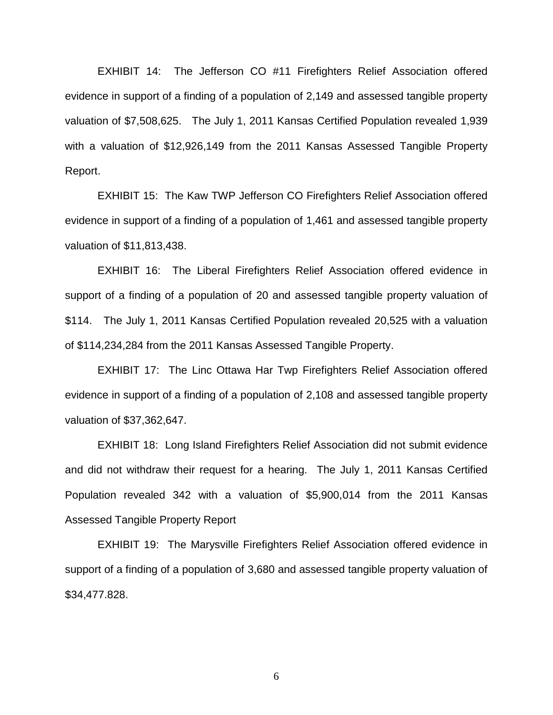EXHIBIT 14: The Jefferson CO #11 Firefighters Relief Association offered evidence in support of a finding of a population of 2,149 and assessed tangible property valuation of \$7,508,625. The July 1, 2011 Kansas Certified Population revealed 1,939 with a valuation of \$12,926,149 from the 2011 Kansas Assessed Tangible Property Report.

EXHIBIT 15: The Kaw TWP Jefferson CO Firefighters Relief Association offered evidence in support of a finding of a population of 1,461 and assessed tangible property valuation of \$11,813,438.

EXHIBIT 16: The Liberal Firefighters Relief Association offered evidence in support of a finding of a population of 20 and assessed tangible property valuation of \$114. The July 1, 2011 Kansas Certified Population revealed 20,525 with a valuation of \$114,234,284 from the 2011 Kansas Assessed Tangible Property.

EXHIBIT 17: The Linc Ottawa Har Twp Firefighters Relief Association offered evidence in support of a finding of a population of 2,108 and assessed tangible property valuation of \$37,362,647.

EXHIBIT 18: Long Island Firefighters Relief Association did not submit evidence and did not withdraw their request for a hearing. The July 1, 2011 Kansas Certified Population revealed 342 with a valuation of \$5,900,014 from the 2011 Kansas Assessed Tangible Property Report

EXHIBIT 19: The Marysville Firefighters Relief Association offered evidence in support of a finding of a population of 3,680 and assessed tangible property valuation of \$34,477.828.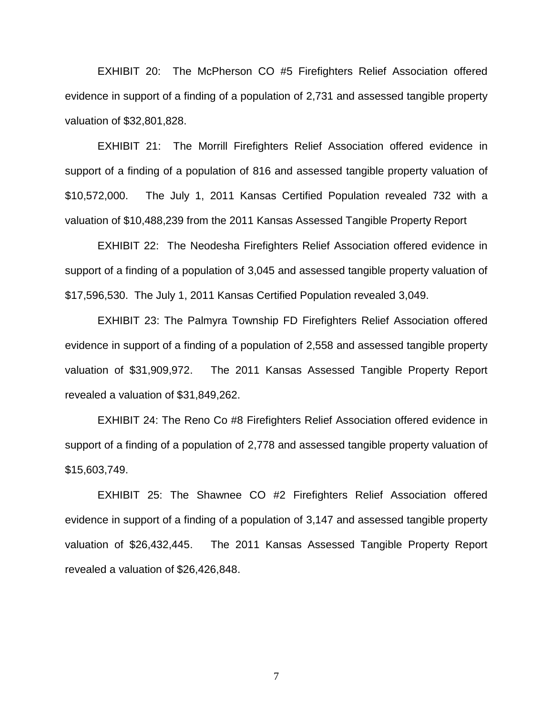EXHIBIT 20: The McPherson CO #5 Firefighters Relief Association offered evidence in support of a finding of a population of 2,731 and assessed tangible property valuation of \$32,801,828.

EXHIBIT 21: The Morrill Firefighters Relief Association offered evidence in support of a finding of a population of 816 and assessed tangible property valuation of \$10,572,000. The July 1, 2011 Kansas Certified Population revealed 732 with a valuation of \$10,488,239 from the 2011 Kansas Assessed Tangible Property Report

EXHIBIT 22: The Neodesha Firefighters Relief Association offered evidence in support of a finding of a population of 3,045 and assessed tangible property valuation of \$17,596,530. The July 1, 2011 Kansas Certified Population revealed 3,049.

EXHIBIT 23: The Palmyra Township FD Firefighters Relief Association offered evidence in support of a finding of a population of 2,558 and assessed tangible property valuation of \$31,909,972. The 2011 Kansas Assessed Tangible Property Report revealed a valuation of \$31,849,262.

EXHIBIT 24: The Reno Co #8 Firefighters Relief Association offered evidence in support of a finding of a population of 2,778 and assessed tangible property valuation of \$15,603,749.

EXHIBIT 25: The Shawnee CO #2 Firefighters Relief Association offered evidence in support of a finding of a population of 3,147 and assessed tangible property valuation of \$26,432,445. The 2011 Kansas Assessed Tangible Property Report revealed a valuation of \$26,426,848.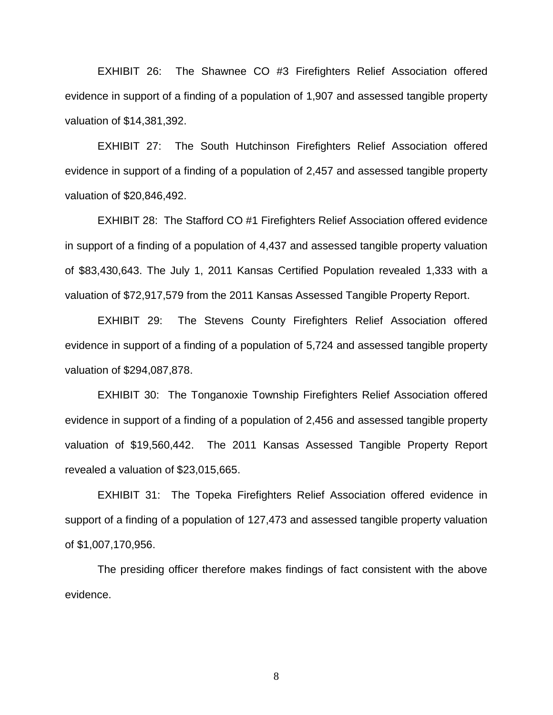EXHIBIT 26: The Shawnee CO #3 Firefighters Relief Association offered evidence in support of a finding of a population of 1,907 and assessed tangible property valuation of \$14,381,392.

EXHIBIT 27: The South Hutchinson Firefighters Relief Association offered evidence in support of a finding of a population of 2,457 and assessed tangible property valuation of \$20,846,492.

EXHIBIT 28: The Stafford CO #1 Firefighters Relief Association offered evidence in support of a finding of a population of 4,437 and assessed tangible property valuation of \$83,430,643. The July 1, 2011 Kansas Certified Population revealed 1,333 with a valuation of \$72,917,579 from the 2011 Kansas Assessed Tangible Property Report.

EXHIBIT 29: The Stevens County Firefighters Relief Association offered evidence in support of a finding of a population of 5,724 and assessed tangible property valuation of \$294,087,878.

EXHIBIT 30: The Tonganoxie Township Firefighters Relief Association offered evidence in support of a finding of a population of 2,456 and assessed tangible property valuation of \$19,560,442. The 2011 Kansas Assessed Tangible Property Report revealed a valuation of \$23,015,665.

EXHIBIT 31: The Topeka Firefighters Relief Association offered evidence in support of a finding of a population of 127,473 and assessed tangible property valuation of \$1,007,170,956.

The presiding officer therefore makes findings of fact consistent with the above evidence.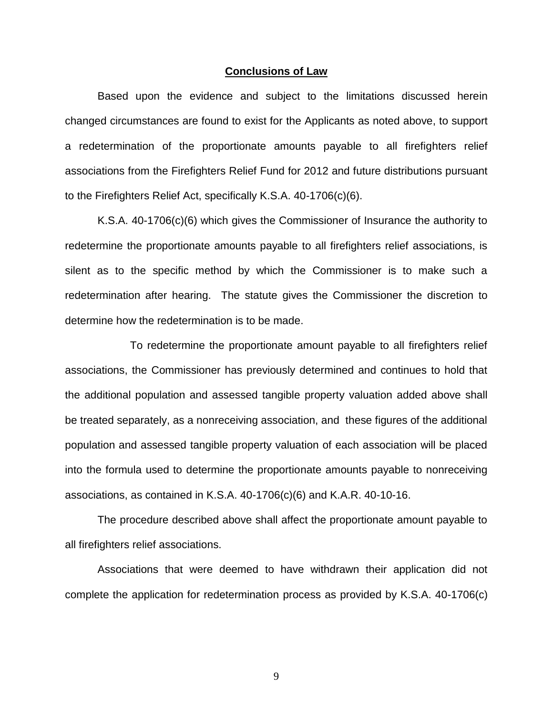#### **Conclusions of Law**

Based upon the evidence and subject to the limitations discussed herein changed circumstances are found to exist for the Applicants as noted above, to support a redetermination of the proportionate amounts payable to all firefighters relief associations from the Firefighters Relief Fund for 2012 and future distributions pursuant to the Firefighters Relief Act, specifically K.S.A. 40-1706(c)(6).

K.S.A. 40-1706(c)(6) which gives the Commissioner of Insurance the authority to redetermine the proportionate amounts payable to all firefighters relief associations, is silent as to the specific method by which the Commissioner is to make such a redetermination after hearing. The statute gives the Commissioner the discretion to determine how the redetermination is to be made.

To redetermine the proportionate amount payable to all firefighters relief associations, the Commissioner has previously determined and continues to hold that the additional population and assessed tangible property valuation added above shall be treated separately, as a nonreceiving association, and these figures of the additional population and assessed tangible property valuation of each association will be placed into the formula used to determine the proportionate amounts payable to nonreceiving associations, as contained in K.S.A. 40-1706(c)(6) and K.A.R. 40-10-16.

The procedure described above shall affect the proportionate amount payable to all firefighters relief associations.

Associations that were deemed to have withdrawn their application did not complete the application for redetermination process as provided by K.S.A. 40-1706(c)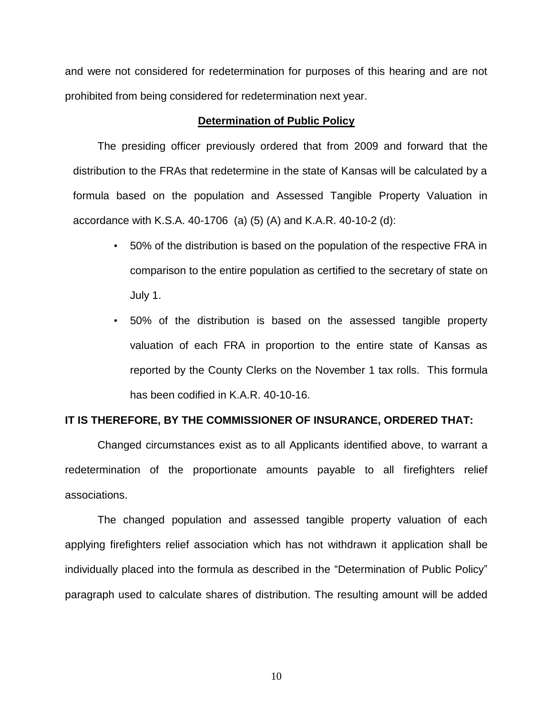and were not considered for redetermination for purposes of this hearing and are not prohibited from being considered for redetermination next year.

### **Determination of Public Policy**

The presiding officer previously ordered that from 2009 and forward that the distribution to the FRAs that redetermine in the state of Kansas will be calculated by a formula based on the population and Assessed Tangible Property Valuation in accordance with K.S.A. 40-1706 (a) (5) (A) and K.A.R. 40-10-2 (d):

- 50% of the distribution is based on the population of the respective FRA in comparison to the entire population as certified to the secretary of state on July 1.
- 50% of the distribution is based on the assessed tangible property valuation of each FRA in proportion to the entire state of Kansas as reported by the County Clerks on the November 1 tax rolls. This formula has been codified in K.A.R. 40-10-16.

#### **IT IS THEREFORE, BY THE COMMISSIONER OF INSURANCE, ORDERED THAT:**

Changed circumstances exist as to all Applicants identified above, to warrant a redetermination of the proportionate amounts payable to all firefighters relief associations.

The changed population and assessed tangible property valuation of each applying firefighters relief association which has not withdrawn it application shall be individually placed into the formula as described in the "Determination of Public Policy" paragraph used to calculate shares of distribution. The resulting amount will be added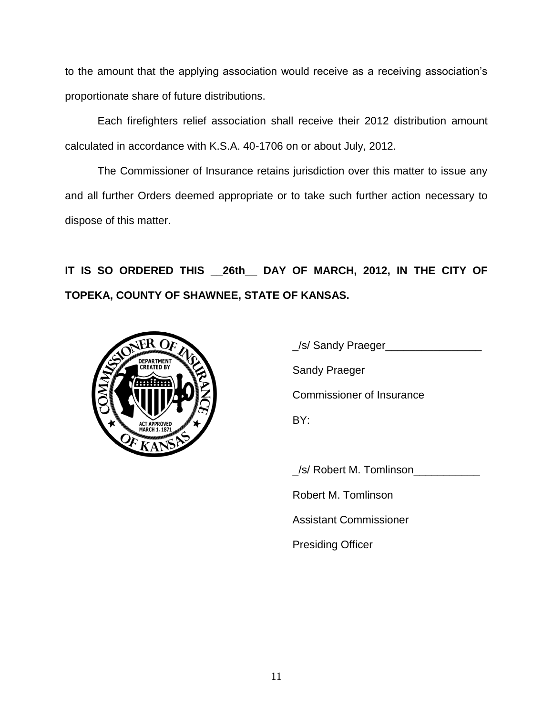to the amount that the applying association would receive as a receiving association's proportionate share of future distributions.

Each firefighters relief association shall receive their 2012 distribution amount calculated in accordance with K.S.A. 40-1706 on or about July, 2012.

The Commissioner of Insurance retains jurisdiction over this matter to issue any and all further Orders deemed appropriate or to take such further action necessary to dispose of this matter.

**IT IS SO ORDERED THIS \_\_26th\_\_ DAY OF MARCH, 2012, IN THE CITY OF TOPEKA, COUNTY OF SHAWNEE, STATE OF KANSAS.**



\_/s/ Robert M. Tomlinson\_\_\_\_\_\_\_\_\_\_\_

Robert M. Tomlinson

Assistant Commissioner

Presiding Officer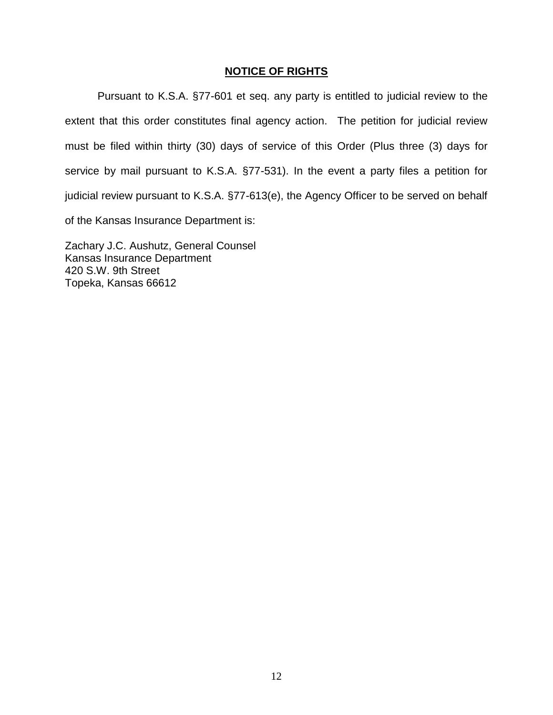# **NOTICE OF RIGHTS**

Pursuant to K.S.A. §77-601 et seq. any party is entitled to judicial review to the extent that this order constitutes final agency action. The petition for judicial review must be filed within thirty (30) days of service of this Order (Plus three (3) days for service by mail pursuant to K.S.A. §77-531). In the event a party files a petition for judicial review pursuant to K.S.A. §77-613(e), the Agency Officer to be served on behalf of the Kansas Insurance Department is:

Zachary J.C. Aushutz, General Counsel Kansas Insurance Department 420 S.W. 9th Street Topeka, Kansas 66612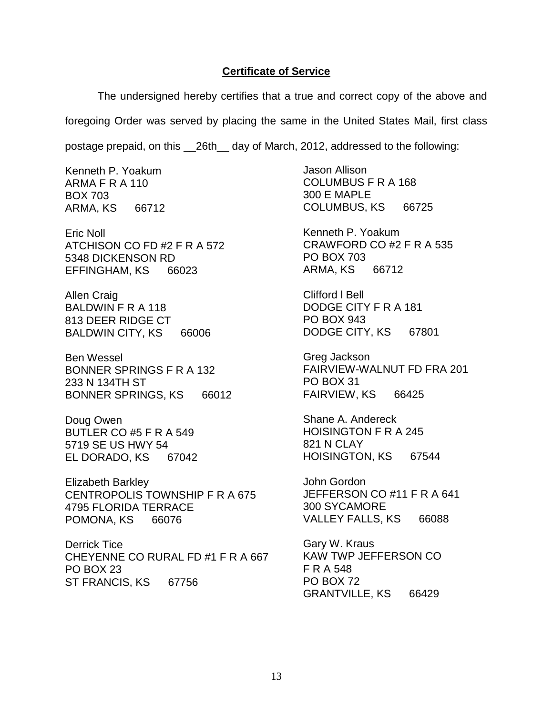## **Certificate of Service**

The undersigned hereby certifies that a true and correct copy of the above and foregoing Order was served by placing the same in the United States Mail, first class

postage prepaid, on this \_\_26th\_\_ day of March, 2012, addressed to the following:

Kenneth P. Yoakum ARMA F R A 110 BOX 703 ARMA, KS 66712

Eric Noll ATCHISON CO FD #2 F R A 572 5348 DICKENSON RD EFFINGHAM, KS 66023

Allen Craig BALDWIN F R A 118 813 DEER RIDGE CT BALDWIN CITY, KS 66006

Ben Wessel BONNER SPRINGS F R A 132 233 N 134TH ST BONNER SPRINGS, KS 66012

Doug Owen BUTLER CO #5 F R A 549 5719 SE US HWY 54 EL DORADO, KS 67042

Elizabeth Barkley CENTROPOLIS TOWNSHIP F R A 675 4795 FLORIDA TERRACE POMONA, KS 66076

Derrick Tice CHEYENNE CO RURAL FD #1 F R A 667 PO BOX 23 ST FRANCIS, KS 67756

Jason Allison COLUMBUS F R A 168 300 E MAPLE COLUMBUS, KS 66725

Kenneth P. Yoakum CRAWFORD CO #2 F R A 535 PO BOX 703 ARMA, KS 66712

Clifford l Bell DODGE CITY F R A 181 PO BOX 943 DODGE CITY, KS 67801

Greg Jackson FAIRVIEW-WALNUT FD FRA 201 PO BOX 31 FAIRVIEW, KS 66425

Shane A. Andereck HOISINGTON F R A 245 821 N CLAY HOISINGTON, KS 67544

John Gordon JEFFERSON CO #11 F R A 641 300 SYCAMORE VALLEY FALLS, KS 66088

Gary W. Kraus KAW TWP JEFFERSON CO F R A 548 PO BOX 72 GRANTVILLE, KS 66429